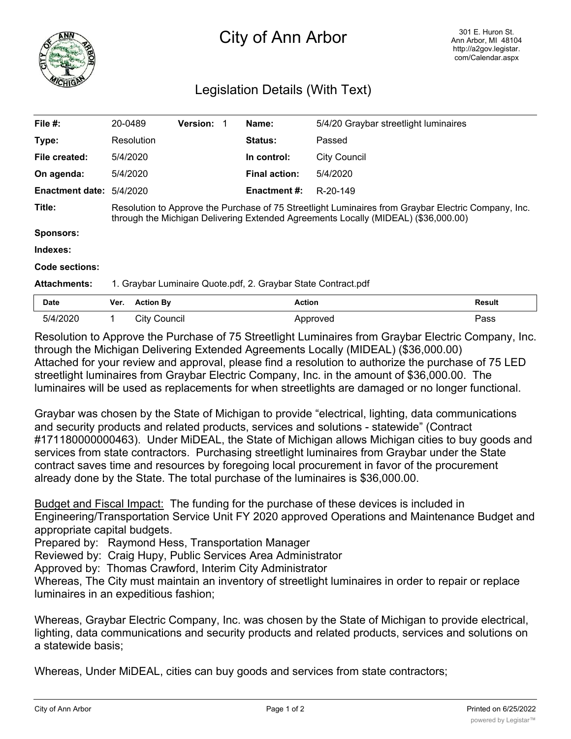

## City of Ann Arbor

## Legislation Details (With Text)

| File $#$ :             | 20-0489                                                                                                                                                                                   |                     | Version: |  | Name:               | 5/4/20 Graybar streetlight luminaires |        |
|------------------------|-------------------------------------------------------------------------------------------------------------------------------------------------------------------------------------------|---------------------|----------|--|---------------------|---------------------------------------|--------|
| Type:                  |                                                                                                                                                                                           | Resolution          |          |  | Status:             | Passed                                |        |
| File created:          | 5/4/2020                                                                                                                                                                                  |                     |          |  | In control:         | <b>City Council</b>                   |        |
| On agenda:             | 5/4/2020                                                                                                                                                                                  |                     |          |  | Final action:       | 5/4/2020                              |        |
| <b>Enactment date:</b> | 5/4/2020                                                                                                                                                                                  |                     |          |  | <b>Enactment #:</b> | R-20-149                              |        |
| Title:                 | Resolution to Approve the Purchase of 75 Streetlight Luminaires from Graybar Electric Company, Inc.<br>through the Michigan Delivering Extended Agreements Locally (MIDEAL) (\$36,000.00) |                     |          |  |                     |                                       |        |
| <b>Sponsors:</b>       |                                                                                                                                                                                           |                     |          |  |                     |                                       |        |
| Indexes:               |                                                                                                                                                                                           |                     |          |  |                     |                                       |        |
| Code sections:         |                                                                                                                                                                                           |                     |          |  |                     |                                       |        |
| <b>Attachments:</b>    | 1. Graybar Luminaire Quote.pdf, 2. Graybar State Contract.pdf                                                                                                                             |                     |          |  |                     |                                       |        |
| Date                   | Ver.                                                                                                                                                                                      | <b>Action By</b>    |          |  | <b>Action</b>       |                                       | Result |
| 5/4/2020               | 1.                                                                                                                                                                                        | <b>City Council</b> |          |  |                     | Approved                              | Pass   |

Resolution to Approve the Purchase of 75 Streetlight Luminaires from Graybar Electric Company, Inc. through the Michigan Delivering Extended Agreements Locally (MIDEAL) (\$36,000.00) Attached for your review and approval, please find a resolution to authorize the purchase of 75 LED streetlight luminaires from Graybar Electric Company, Inc. in the amount of \$36,000.00. The luminaires will be used as replacements for when streetlights are damaged or no longer functional.

Graybar was chosen by the State of Michigan to provide "electrical, lighting, data communications and security products and related products, services and solutions - statewide" (Contract #171180000000463). Under MiDEAL, the State of Michigan allows Michigan cities to buy goods and services from state contractors. Purchasing streetlight luminaires from Graybar under the State contract saves time and resources by foregoing local procurement in favor of the procurement already done by the State. The total purchase of the luminaires is \$36,000.00.

Budget and Fiscal Impact: The funding for the purchase of these devices is included in Engineering/Transportation Service Unit FY 2020 approved Operations and Maintenance Budget and appropriate capital budgets.

Prepared by: Raymond Hess, Transportation Manager

Reviewed by: Craig Hupy, Public Services Area Administrator

Approved by: Thomas Crawford, Interim City Administrator

Whereas, The City must maintain an inventory of streetlight luminaires in order to repair or replace luminaires in an expeditious fashion;

Whereas, Graybar Electric Company, Inc. was chosen by the State of Michigan to provide electrical, lighting, data communications and security products and related products, services and solutions on a statewide basis;

Whereas, Under MiDEAL, cities can buy goods and services from state contractors;